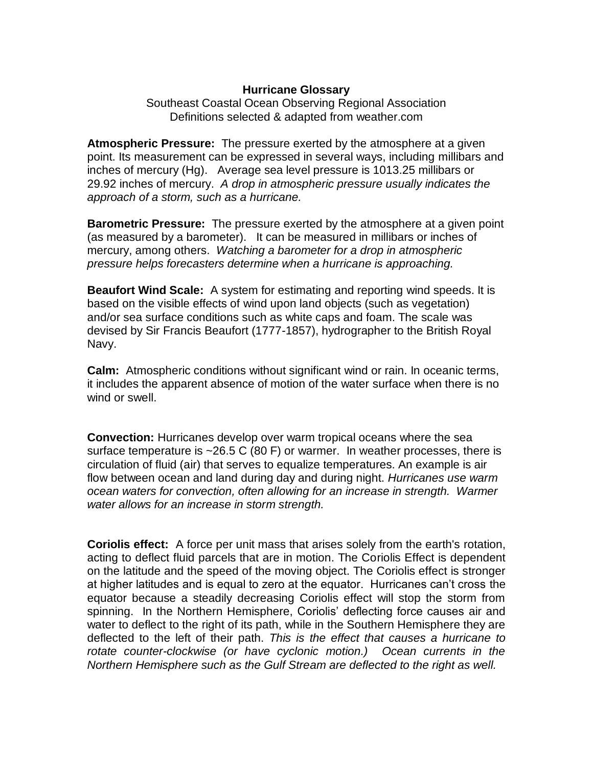## **Hurricane Glossary**

Southeast Coastal Ocean Observing Regional Association Definitions selected & adapted from weather.com

**Atmospheric Pressure:** The [pressure](http://www.weather.com/glossary/p.html#pressure) exerted by the [atmosphere](http://www.weather.com/glossary/a.html#atmo#atmo) at a given point. Its measurement can be expressed in several ways, including [millibars](http://www.weather.com/glossary/m.html#mb) and [inches of mercury \(Hg\).](http://www.weather.com/glossary/i.html#inhg) Average sea level pressure is 1013.25 millibars or 29.92 inches of mercury. *A drop in atmospheric pressure usually indicates the approach of a storm, such as a hurricane.* 

**Barometric Pressure:** The [pressure](http://www.weather.com/glossary/p.html#pressure) exerted by the [atmosphere](http://www.weather.com/glossary/a.html#atmo) at a given point (as measured by a barometer). It can be measured in millibars or inches of mercury, among others. *Watching a barometer for a drop in atmospheric pressure helps forecasters determine when a hurricane is approaching.* 

**Beaufort Wind Scale:** A system for estimating and reporting [wind speeds.](http://www.weather.com/glossary/w.html#wndspd) It is based on the visible effects of wind upon land objects (such as vegetation) and/or sea surface conditions such as white caps and foam. The scale was devised by Sir Francis Beaufort (1777-1857), hydrographer to the British Royal Navy.

**Calm:** [Atmospheric](http://www.weather.com/glossary/a.html#atmo) conditions without significant [wind](http://www.weather.com/glossary/w.html#wind) or rain. In oceanic terms, it includes the apparent absence of motion of the water surface when there is no wind or [swell.](http://www.weather.com/glossary/s.html#swell)

**Convection:** Hurricanes develop over warm tropical oceans where the sea surface temperature is ~26.5 C (80 F) or warmer. In weather processes, there is circulation of fluid (air) that serves to equalize temperatures. An example is air flow between ocean and land during day and during night. *Hurricanes use warm ocean waters for convection, often allowing for an increase in strength. Warmer water allows for an increase in storm strength.* 

**Coriolis effect:** A force per unit mass that arises solely from the earth's [rotation,](http://www.weather.com/glossary/r.html#rotate) acting to deflect fluid parcels that are in motion. The Coriolis Effect is dependent on the [latitude](http://www.weather.com/glossary/l.html#lat) and the speed of the moving object. The Coriolis effect is stronger at higher latitudes and is equal to zero at the equator. Hurricanes can't cross the equator because a steadily decreasing Coriolis effect will stop the storm from spinning.In the Northern Hemisphere, [Coriolis' deflecting force causes air](http://www.weather.com/glossary/a.html#air) and water to deflect to the right of its path, while in the Southern Hemisphere they are deflected to the left of their path. *This is the effect that causes a hurricane to rotate counter-clockwise (or have cyclonic motion.) Ocean currents in the Northern Hemisphere such as the Gulf Stream are deflected to the right as well.*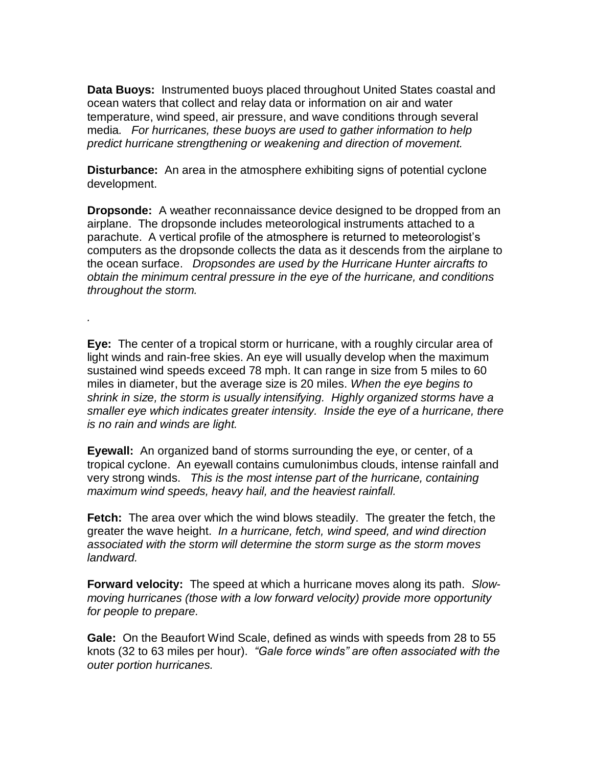**Data Buoys:** Instrumented buoys placed throughout United States coastal and ocean waters that collect and relay data or information on [air](http://www.weather.com/glossary/a.html#air) and water [temperature,](http://www.weather.com/glossary/t.html#temp) [wind speed,](http://www.weather.com/glossary/w.html#wndspd) [air pressure,](http://www.weather.com/glossary/p.html#pressure) and [wave conditions](http://www.weather.com/glossary/w.html#wndwv) through several media*. For hurricanes, these buoys are used to gather information to help predict hurricane strengthening or weakening and direction of movement.* 

**Disturbance:** An area in the atmosphere exhibiting signs of potential cyclone development.

**Dropsonde:** A weather reconnaissance device designed to be dropped from an airplane. The dropsonde includes meteorological instruments attached to a parachute. A vertical profile of the atmosphere is returned to meteorologist's computers as the dropsonde collects the data as it descends from the airplane to the ocean surface. *Dropsondes are used by the Hurricane Hunter aircrafts to obtain the minimum central pressure in the eye of the hurricane, and conditions throughout the storm.* 

*.*

**Eye:** The center of a [tropical storm](http://www.weather.com/glossary/t.html#tstorm) or [hurricane,](http://www.weather.com/glossary/h.html#hurricane) with a roughly circular area of light [winds](http://www.weather.com/glossary/w.html#wind) and rain-free skies. An eye will usually develop when the maximum sustained [wind speeds](http://www.weather.com/glossary/w.html#wndspd) exceed 78 mph. It can range in size from 5 miles to 60 miles in diameter, but the average size is 20 miles. *When the eye begins to shrink in size, the [storm](http://www.weather.com/glossary/s.html#storm) is usually intensifying. Highly organized storms have a smaller eye which indicates greater intensity. Inside the eye of a hurricane, there is no rain and winds are light.* 

**Eyewall:** An organized band of [storms](http://www.weather.com/glossary/c.html#convect) surrounding the [eye,](http://www.weather.com/glossary/e.html#eye) or center, of a [tropical cyclone.](http://www.weather.com/glossary/t.html#tropcyc) An eyewall contains [cumulonimbus](http://www.weather.com/glossary/c.html#cb) clouds, intense [rainfall](http://www.weather.com/glossary/r.html#rain) and very strong [winds.](http://www.weather.com/glossary/w.html#wind) *This is the most intense part of the hurricane, containing maximum wind speeds, heavy hail, and the heaviest rainfall.* 

**Fetch:** The area over which the wind blows steadily. The greater the fetch, the greater the wave height. *In a hurricane, fetch, wind speed, and wind direction associated with the storm will determine the storm surge as the storm moves landward.*

**Forward velocity:** The speed at which a hurricane moves along its path. *Slowmoving hurricanes (those with a low forward velocity) provide more opportunity for people to prepare.* 

**Gale:** On the [Beaufort Wind Scale,](http://www.weather.com/glossary/b.html#beaufort) defined as winds with speeds from 28 to 55 [knots](http://www.weather.com/glossary/k.html#knot) (32 to 63 miles per hour). *"Gale force winds" are often associated with the outer portion hurricanes.*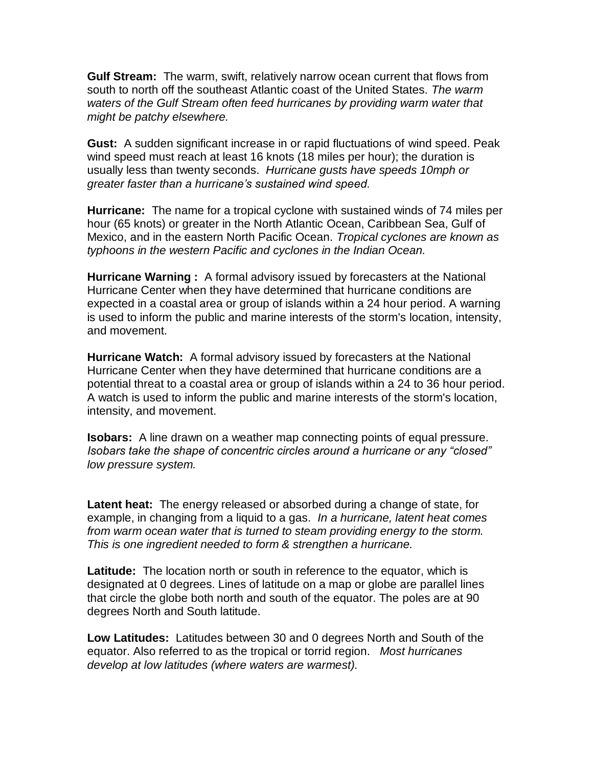**Gulf Stream:** The warm, swift, relatively narrow [ocean current](http://www.weather.com/glossary/c.html#current) that flows from south to north off the southeast Atlantic coast of the United States. *The warm waters of the Gulf Stream often feed hurricanes by providing warm water that might be patchy elsewhere.*

**Gust:** A sudden significant increase in or rapid fluctuations of [wind speed.](http://www.weather.com/glossary/w.html#wndspd) Peak wind speed must reach at least 16 knots (18 miles per hour); the duration is usually less than twenty seconds. *Hurricane gusts have speeds 10mph or greater faster than a hurricane's sustained wind speed.*

**Hurricane:** The name for a [tropical cyclone](http://www.weather.com/glossary/t.html#tropcyc) with sustained winds of 74 miles per hour (65 [knots\)](http://www.weather.com/glossary/k.html#knot) or greater in the North Atlantic Ocean, Caribbean Sea, Gulf of Mexico, and in the eastern North Pacific Ocean. *Tropical cyclones are known as [typhoons](http://www.weather.com/glossary/t.html#typhoon) in the western Pacific and [cyclones](http://www.weather.com/glossary/c.html#cyclone) in the Indian Ocean.* 

**Hurricane Warning :** A formal [advisory](http://www.weather.com/glossary/a.html#advisory) issued by forecasters at the [National](http://www.weather.com/glossary/n.html#nhc)  [Hurricane Center](http://www.weather.com/glossary/n.html#nhc) when they have determined that [hurricane](http://www.weather.com/glossary/h.html#hurricane) conditions are expected in a coastal area or group of islands within a 24 hour period. A [warning](http://www.weather.com/glossary/w.html#wrng) is used to inform the public and marine interests of the storm's location, intensity, and movement.

**Hurricane Watch:** A formal [advisory](http://www.weather.com/glossary/a.html#advisory) issued by forecasters at the [National](http://www.weather.com/glossary/n.html#nws)  [Hurricane Center](http://www.weather.com/glossary/n.html#nws) when they have determined that [hurricane](http://www.weather.com/glossary/h.html#hurricane) conditions are a potential threat to a coastal area or group of islands within a 24 to 36 hour period. A [watch](http://www.weather.com/glossary/w.html#watch) is used to inform the public and marine interests of the storm's location, intensity, and movement.

**Isobars:** A line drawn on a weather map connecting points of equal pressure. *Isobars take the shape of concentric circles around a hurricane or any "closed" low pressure system.* 

**Latent heat:** The energy released or absorbed during a change of state, for example, in changing from a liquid to a gas. *In a hurricane, latent heat comes from warm ocean water that is turned to steam providing energy to the storm. This is one ingredient needed to form & strengthen a hurricane.*

**Latitude:** The location north or south in reference to the [equator,](http://www.weather.com/glossary/e.html#equator) which is designated at 0 degrees. Lines of latitude on a map or globe are parallel lines that circle the globe both north and south of the equator. The [poles](http://www.weather.com/glossary/p.html#polar) are at 90 degrees North and South latitude.

**Low Latitudes:** [Latitudes](http://www.weather.com/glossary/l.html#lat) between 30 and 0 degrees North and South of the [equator.](http://www.weather.com/glossary/e.html#equator) Also referred to as the [tropical](http://www.weather.com/glossary/t.html#tropic) or torrid region. *Most hurricanes develop at low latitudes (where waters are warmest).*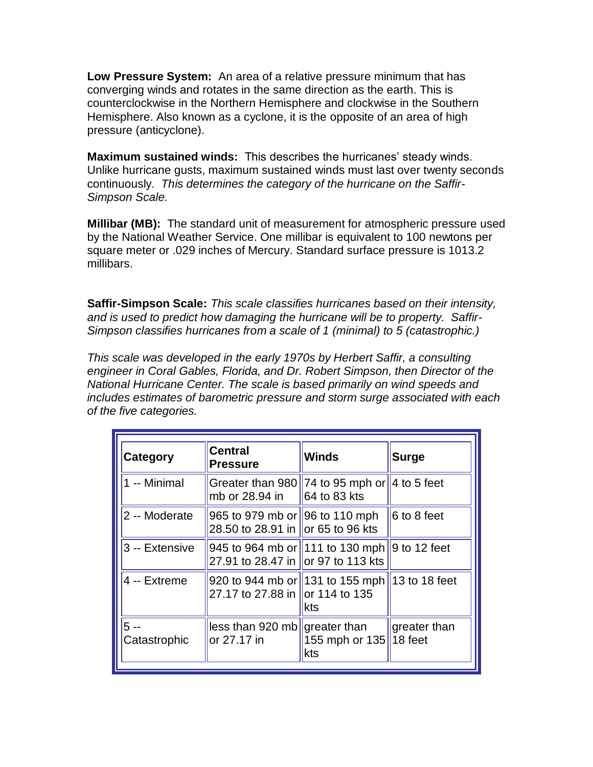**Low Pressure System:** An area of a relative [pressure](http://www.weather.com/glossary/p.html#pressure) minimum that has [converging](http://www.weather.com/glossary/c.html#converge) [winds](http://www.weather.com/glossary/w.html#wind) and rotates in the same direction as the earth. This is counterclockwise in the Northern Hemisphere and clockwise in the Southern Hemisphere. Also known as a [cyclone,](http://www.weather.com/glossary/c.html#cyclone) it is the opposite of an area of [high](http://www.weather.com/glossary/h.html#high)  [pressure](http://www.weather.com/glossary/h.html#high) (anticyclone).

**Maximum sustained winds:** This describes the hurricanes' steady winds. Unlike hurricane gusts, maximum sustained winds must last over twenty seconds continuously. *This determines the category of the hurricane on the Saffir-Simpson Scale.*

**Millibar (MB):** The standard unit of measurement for [atmospheric pressure](http://www.weather.com/glossary/a.html#atmo) used by the [National Weather Service.](http://www.weather.com/glossary/n.html#nws) One millibar is equivalent to 100 [newtons](http://www.weather.com/glossary/n.html#newton) per square meter or .029 inches of Mercury. [Standard surface pressure](http://www.weather.com/glossary/s.html#stdpres) is 1013.2 millibars.

**Saffir-Simpson Scale:** *This scale classifies hurricanes based on their intensity, and is used to predict how damaging the hurricane will be to property. Saffir-Simpson classifies hurricanes from a scale of 1 (minimal) to 5 (catastrophic.)* 

*This scale was developed in the early 1970s by Herbert Saffir, a consulting engineer in Coral Gables, Florida, and Dr. Robert Simpson, then Director of the National Hurricane Center. The scale is based primarily on wind speeds and includes estimates of barometric pressure and storm surge associated with each of the five categories.* 

| <b>Category</b>      | <b>Central</b><br><b>Pressure</b>                                                   | <b>Winds</b>                      | <b>Surge</b>                     |
|----------------------|-------------------------------------------------------------------------------------|-----------------------------------|----------------------------------|
| 1 -- Minimal         | Greater than 980 74 to 95 mph or 4 to 5 feet<br>mb or 28.94 in                      | $\parallel$ 64 to 83 kts          |                                  |
| 2 -- Moderate        | 965 to 979 mb or 96 to 110 mph<br>28.50 to 28.91 in or 65 to 96 kts                 |                                   | $\ 6 \text{ to } 8 \text{ feet}$ |
| 3 -- Extensive       | 945 to 964 mb or 1111 to 130 mph 9 to 12 feet<br>27.91 to 28.47 in or 97 to 113 kts |                                   |                                  |
| 4 -- Extreme         | 920 to 944 mb or 131 to 155 mph 13 to 18 feet<br>27.17 to 27.88 in lor 114 to 135   | kts                               |                                  |
| 5 --<br>Catastrophic | less than 920 mb greater than<br>or 27.17 in                                        | $\ 155$ mph or 135 18 feet<br>kts | $\parallel$ greater than         |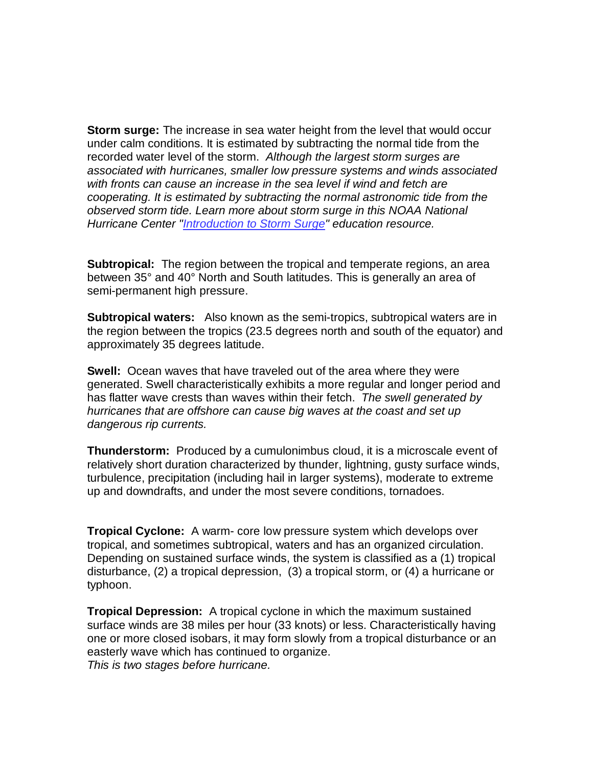**Storm surge:** The increase in [sea water](http://www.weather.com/glossary/s.html#seawtr) height from the level that would occur under calm conditions. It is estimated by subtracting the normal tide from the recorded water level of the storm. *Although the largest storm surges are associated with [hurricanes,](http://www.weather.com/glossary/h.html#hurricane) smaller [low pressure systems](http://www.weather.com/glossary/l.html#low) and winds associated with fronts can cause an increase in the [sea level](http://www.weather.com/glossary/s.html#sealvl) if wind and fetch are cooperating. It is estimated by subtracting the normal astronomic [tide](http://www.weather.com/glossary/t.html#tide) from the observed storm tide. Learn more about storm surge in this NOAA National Hurricane Center ["Introduction to Storm Surge"](http://beta.secoora.org/wp-content/uploads/2016/12/NOAA_NHC_surge_intro.pdf) education resource.*

**Subtropical:** The region between the [tropical](http://www.weather.com/glossary/t.html#tropic) and [temperate regions,](http://www.weather.com/glossary/t.html#temperate) an area between 35° and 40° North and South [latitudes](http://www.weather.com/glossary/l.html#lat). This is generally an area of [semi-permanent](http://www.weather.com/glossary/s.html#semi) [high pressure.](http://www.weather.com/glossary/h.html#high)

**Subtropical waters:** Also known as the semi-tropics, subtropical waters are in the region between the tropics (23.5 degrees north and south of the equator) and approximately 35 degrees latitude.

**Swell:** [Ocean](http://www.weather.com/glossary/o.html#ocean) waves that have traveled out of the area where they were generated. Swell characteristically exhibits a more regular and longer period and has flatter wave crests than [waves](http://www.weather.com/glossary/w.html#wave) within their [fetch.](http://www.weather.com/glossary/f.html#fetch) *The swell generated by hurricanes that are offshore can cause big waves at the coast and set up dangerous rip currents.* 

**Thunderstorm:** Produced by a [cumulonimbus](http://www.weather.com/glossary/c.html#cb) cloud, it is a microscale event of relatively short duration characterized by [thunder,](http://www.weather.com/glossary/t.html#thunder) [lightning,](http://www.weather.com/glossary/l.html#lightning) [gusty](http://www.weather.com/glossary/g.html#gust) surface winds, [turbulence,](http://www.weather.com/glossary/t.html#turbo) [precipitation](http://www.weather.com/glossary/p.html#precip) (including hail in larger systems), moderate to extreme [up](http://www.weather.com/glossary/u.html#updraft) and [downdrafts,](http://www.weather.com/glossary/d.html#downdft) and under the most [severe conditions,](http://www.weather.com/glossary/s.html#svr) [tornadoes.](http://www.weather.com/glossary/t.html#tornado)

**Tropical Cyclone:** A warm- core [low pressure system](http://www.weather.com/glossary/l.html#low) which develops over [tropical,](http://www.weather.com/glossary/t.html#tropic) and sometimes [subtropical,](http://www.weather.com/glossary/s.html#subtrop) waters and has an organized [circulation.](http://www.weather.com/glossary/c.html#circulate) Depending on sustained surface [winds,](http://www.weather.com/glossary/w.html#wind) the system is classified as a (1) [tropical](http://www.weather.com/glossary/t.html#tdisturb)  [disturbance,](http://www.weather.com/glossary/t.html#tdisturb) (2) a [tropical depression,](http://www.weather.com/glossary/t.html#td) (3) a [tropical storm,](http://www.weather.com/glossary/t.html#tstorm) or (4) a [hurricane](http://www.weather.com/glossary/h.html#hurricane) or [typhoon.](http://www.weather.com/glossary/t.html#typhoon)

**Tropical Depression:** A [tropical cyclone](http://www.weather.com/glossary/t.html#tropcyc) in which the [maximum](http://www.weather.com/glossary/m.html#max) sustained surface [winds](http://www.weather.com/glossary/w.html#wind) are 38 miles per hour (33 [knots\)](http://www.weather.com/glossary/k.html#knot) or less. Characteristically having one or more closed [isobars,](http://www.weather.com/glossary/i.html#isobar) it may form slowly from a [tropical disturbance](http://www.weather.com/glossary/t.html#tdisturb) or an [easterly wave](http://www.weather.com/glossary/e.html#eastwv) which has continued to organize. *This is two stages before hurricane.*